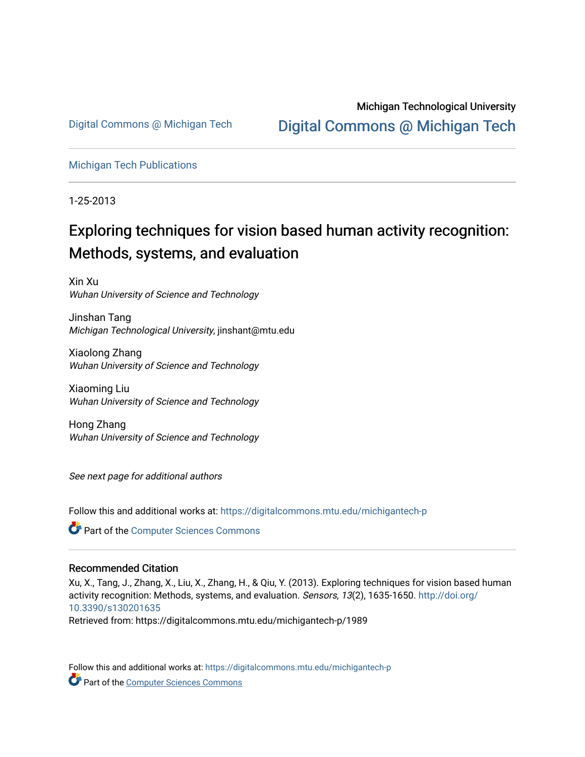[Digital Commons @ Michigan Tech](http://www.mtu.edu/)

Michigan Technological University

## [Digital Commons @ Michigan Tech](https://digitalcommons.mtu.edu/)

[Michigan Tech Publications](https://digitalcommons.mtu.edu/michigantech-p) 

1-25-2013

# Exploring techniques for vision based human activity recognition: Methods, systems, and evaluation

Xin Xu Wuhan University of Science and Technology

Jinshan Tang Michigan Technological University, jinshant@mtu.edu

Xiaolong Zhang Wuhan University of Science and Technology

Xiaoming Liu Wuhan University of Science and Technology

Hong Zhang Wuhan University of Science and Technology

See next page for additional authors

Follow this and additional works at: [https://digitalcommons.mtu.edu/michigantech-p](https://digitalcommons.mtu.edu/michigantech-p?utm_source=digitalcommons.mtu.edu%2Fmichigantech-p%2F1989&utm_medium=PDF&utm_campaign=PDFCoverPages)

**Part of the [Computer Sciences Commons](http://network.bepress.com/hgg/discipline/142?utm_source=digitalcommons.mtu.edu%2Fmichigantech-p%2F1989&utm_medium=PDF&utm_campaign=PDFCoverPages)** 

#### Recommended Citation

Xu, X., Tang, J., Zhang, X., Liu, X., Zhang, H., & Qiu, Y. (2013). Exploring techniques for vision based human activity recognition: Methods, systems, and evaluation. Sensors, 13(2), 1635-1650. [http://doi.org/](http://doi.org/10.3390/s130201635) [10.3390/s130201635](http://doi.org/10.3390/s130201635)

Retrieved from: https://digitalcommons.mtu.edu/michigantech-p/1989

Follow this and additional works at: [https://digitalcommons.mtu.edu/michigantech-p](https://digitalcommons.mtu.edu/michigantech-p?utm_source=digitalcommons.mtu.edu%2Fmichigantech-p%2F1989&utm_medium=PDF&utm_campaign=PDFCoverPages)  **Part of the Computer Sciences Commons**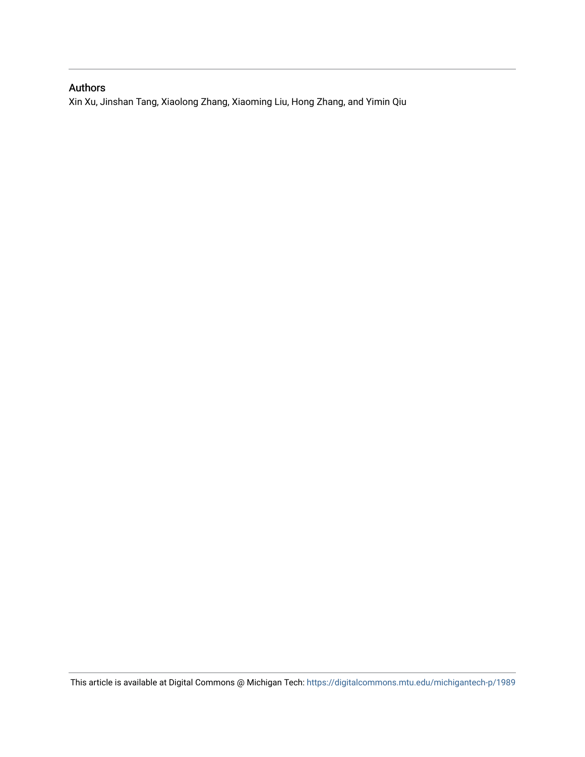## Authors

Xin Xu, Jinshan Tang, Xiaolong Zhang, Xiaoming Liu, Hong Zhang, and Yimin Qiu

This article is available at Digital Commons @ Michigan Tech:<https://digitalcommons.mtu.edu/michigantech-p/1989>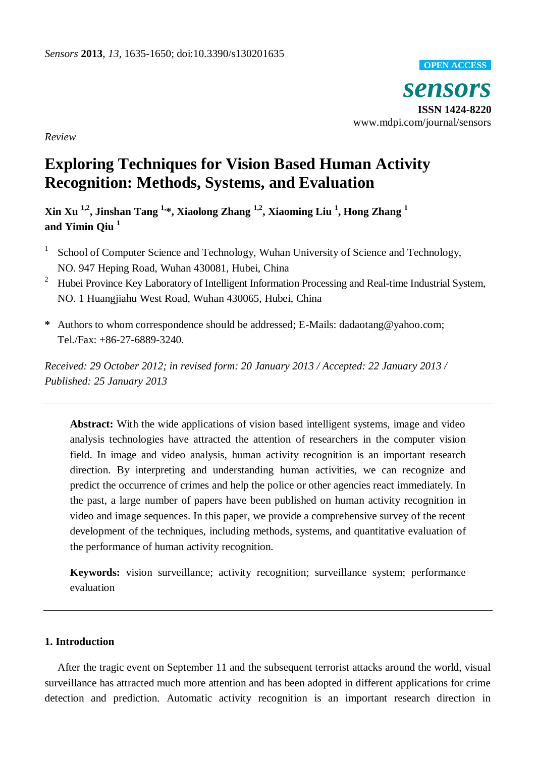

*Review*

## **Exploring Techniques for Vision Based Human Activity Recognition: Methods, Systems, and Evaluation**

**Xin Xu 1,2, Jinshan Tang 1, \*, Xiaolong Zhang 1,2 , Xiaoming Liu <sup>1</sup> , Hong Zhang <sup>1</sup> and Yimin Qiu <sup>1</sup>**

- 1 School of Computer Science and Technology, Wuhan University of Science and Technology, NO. 947 Heping Road, Wuhan 430081, Hubei, China
- <sup>2</sup> Hubei Province Key Laboratory of Intelligent Information Processing and Real-time Industrial System, NO. 1 Huangjiahu West Road, Wuhan 430065, Hubei, China
- **\*** Authors to whom correspondence should be addressed; E-Mails: dadaotang@yahoo.com; Tel./Fax: +86-27-6889-3240.

*Received: 29 October 2012; in revised form: 20 January 2013 / Accepted: 22 January 2013 / Published: 25 January 2013*

**Abstract:** With the wide applications of vision based intelligent systems, image and video analysis technologies have attracted the attention of researchers in the computer vision field. In image and video analysis, human activity recognition is an important research direction. By interpreting and understanding human activities, we can recognize and predict the occurrence of crimes and help the police or other agencies react immediately. In the past, a large number of papers have been published on human activity recognition in video and image sequences. In this paper, we provide a comprehensive survey of the recent development of the techniques, including methods, systems, and quantitative evaluation of the performance of human activity recognition.

**Keywords:** vision surveillance; activity recognition; surveillance system; performance evaluation

## **1. Introduction**

After the tragic event on September 11 and the subsequent terrorist attacks around the world, visual surveillance has attracted much more attention and has been adopted in different applications for crime detection and prediction. Automatic activity recognition is an important research direction in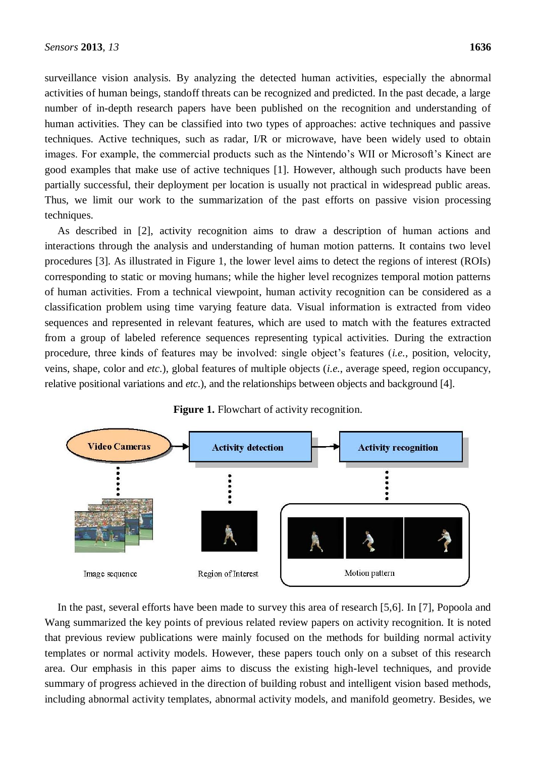surveillance vision analysis. By analyzing the detected human activities, especially the abnormal activities of human beings, standoff threats can be recognized and predicted. In the past decade, a large number of in-depth research papers have been published on the recognition and understanding of human activities. They can be classified into two types of approaches: active techniques and passive techniques. Active techniques, such as radar, I/R or microwave, have been widely used to obtain images. For example, the commercial products such as the Nintendo's WII or Microsoft's Kinect are good examples that make use of active techniques [1]. However, although such products have been partially successful, their deployment per location is usually not practical in widespread public areas. Thus, we limit our work to the summarization of the past efforts on passive vision processing techniques.

As described in [2], activity recognition aims to draw a description of human actions and interactions through the analysis and understanding of human motion patterns. It contains two level procedures [3]. As illustrated in Figure 1, the lower level aims to detect the regions of interest (ROIs) corresponding to static or moving humans; while the higher level recognizes temporal motion patterns of human activities. From a technical viewpoint, human activity recognition can be considered as a classification problem using time varying feature data. Visual information is extracted from video sequences and represented in relevant features, which are used to match with the features extracted from a group of labeled reference sequences representing typical activities. During the extraction procedure, three kinds of features may be involved: single object's features (*i.e.*, position, velocity, veins, shape, color and *etc*.), global features of multiple objects (*i.e.*, average speed, region occupancy, relative positional variations and *etc*.), and the relationships between objects and background [4].

## **Figure 1.** Flowchart of activity recognition.



In the past, several efforts have been made to survey this area of research [5,6]. In [7], Popoola and Wang summarized the key points of previous related review papers on activity recognition. It is noted that previous review publications were mainly focused on the methods for building normal activity templates or normal activity models. However, these papers touch only on a subset of this research area. Our emphasis in this paper aims to discuss the existing high-level techniques, and provide summary of progress achieved in the direction of building robust and intelligent vision based methods, including abnormal activity templates, abnormal activity models, and manifold geometry. Besides, we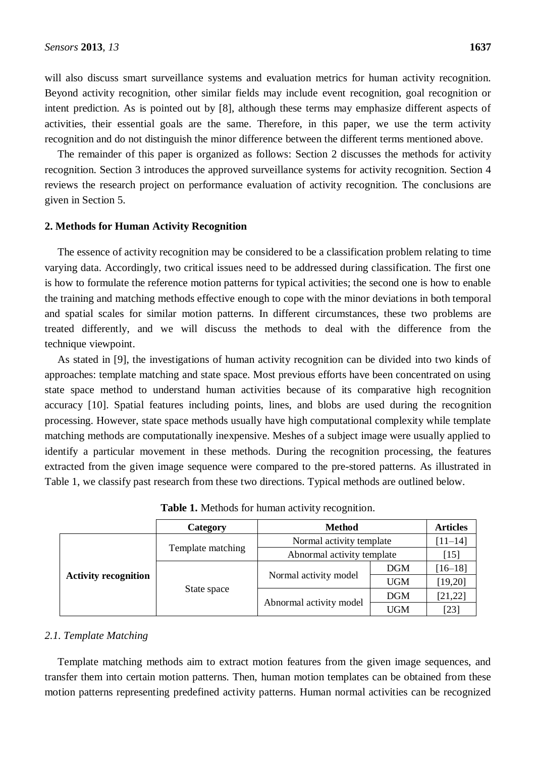will also discuss smart surveillance systems and evaluation metrics for human activity recognition. Beyond activity recognition, other similar fields may include event recognition, goal recognition or intent prediction. As is pointed out by [8], although these terms may emphasize different aspects of activities, their essential goals are the same. Therefore, in this paper, we use the term activity recognition and do not distinguish the minor difference between the different terms mentioned above.

The remainder of this paper is organized as follows: Section 2 discusses the methods for activity recognition. Section 3 introduces the approved surveillance systems for activity recognition. Section 4 reviews the research project on performance evaluation of activity recognition. The conclusions are given in Section 5.

#### **2. Methods for Human Activity Recognition**

The essence of activity recognition may be considered to be a classification problem relating to time varying data. Accordingly, two critical issues need to be addressed during classification. The first one is how to formulate the reference motion patterns for typical activities; the second one is how to enable the training and matching methods effective enough to cope with the minor deviations in both temporal and spatial scales for similar motion patterns. In different circumstances, these two problems are treated differently, and we will discuss the methods to deal with the difference from the technique viewpoint.

As stated in [9], the investigations of human activity recognition can be divided into two kinds of approaches: template matching and state space. Most previous efforts have been concentrated on using state space method to understand human activities because of its comparative high recognition accuracy [10]. Spatial features including points, lines, and blobs are used during the recognition processing. However, state space methods usually have high computational complexity while template matching methods are computationally inexpensive. Meshes of a subject image were usually applied to identify a particular movement in these methods. During the recognition processing, the features extracted from the given image sequence were compared to the pre-stored patterns. As illustrated in Table 1, we classify past research from these two directions. Typical methods are outlined below.

|                             | <b>Category</b>   | <b>Method</b>              |            | <b>Articles</b> |
|-----------------------------|-------------------|----------------------------|------------|-----------------|
| <b>Activity recognition</b> | Template matching | Normal activity template   |            | $[11 - 14]$     |
|                             |                   | Abnormal activity template |            | $[15]$          |
|                             | State space       | Normal activity model      | <b>DGM</b> | $[16 - 18]$     |
|                             |                   |                            | <b>UGM</b> | [19, 20]        |
|                             |                   | Abnormal activity model    | <b>DGM</b> | [21, 22]        |
|                             |                   |                            | <b>UGM</b> | [23]            |

**Table 1.** Methods for human activity recognition.

#### *2.1. Template Matching*

Template matching methods aim to extract motion features from the given image sequences, and transfer them into certain motion patterns. Then, human motion templates can be obtained from these motion patterns representing predefined activity patterns. Human normal activities can be recognized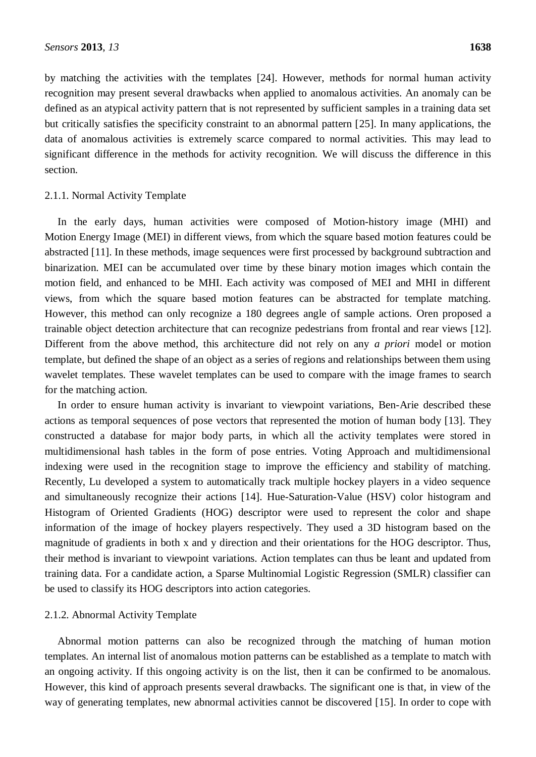by matching the activities with the templates [24]. However, methods for normal human activity recognition may present several drawbacks when applied to anomalous activities. An anomaly can be defined as an atypical activity pattern that is not represented by sufficient samples in a training data set but critically satisfies the specificity constraint to an abnormal pattern [25]. In many applications, the data of anomalous activities is extremely scarce compared to normal activities. This may lead to significant difference in the methods for activity recognition. We will discuss the difference in this section.

#### 2.1.1. Normal Activity Template

In the early days, human activities were composed of Motion-history image (MHI) and Motion Energy Image (MEI) in different views, from which the square based motion features could be abstracted [11]. In these methods, image sequences were first processed by background subtraction and binarization. MEI can be accumulated over time by these binary motion images which contain the motion field, and enhanced to be MHI. Each activity was composed of MEI and MHI in different views, from which the square based motion features can be abstracted for template matching. However, this method can only recognize a 180 degrees angle of sample actions. Oren proposed a trainable object detection architecture that can recognize pedestrians from frontal and rear views [12]. Different from the above method, this architecture did not rely on any *a priori* model or motion template, but defined the shape of an object as a series of regions and relationships between them using wavelet templates. These wavelet templates can be used to compare with the image frames to search for the matching action.

In order to ensure human activity is invariant to viewpoint variations, Ben-Arie described these actions as temporal sequences of pose vectors that represented the motion of human body [13]. They constructed a database for major body parts, in which all the activity templates were stored in multidimensional hash tables in the form of pose entries. Voting Approach and multidimensional indexing were used in the recognition stage to improve the efficiency and stability of matching. Recently, Lu developed a system to automatically track multiple hockey players in a video sequence and simultaneously recognize their actions [14]. Hue-Saturation-Value (HSV) color histogram and Histogram of Oriented Gradients (HOG) descriptor were used to represent the color and shape information of the image of hockey players respectively. They used a 3D histogram based on the magnitude of gradients in both x and y direction and their orientations for the HOG descriptor. Thus, their method is invariant to viewpoint variations. Action templates can thus be leant and updated from training data. For a candidate action, a Sparse Multinomial Logistic Regression (SMLR) classifier can be used to classify its HOG descriptors into action categories.

#### 2.1.2. Abnormal Activity Template

Abnormal motion patterns can also be recognized through the matching of human motion templates. An internal list of anomalous motion patterns can be established as a template to match with an ongoing activity. If this ongoing activity is on the list, then it can be confirmed to be anomalous. However, this kind of approach presents several drawbacks. The significant one is that, in view of the way of generating templates, new abnormal activities cannot be discovered [15]. In order to cope with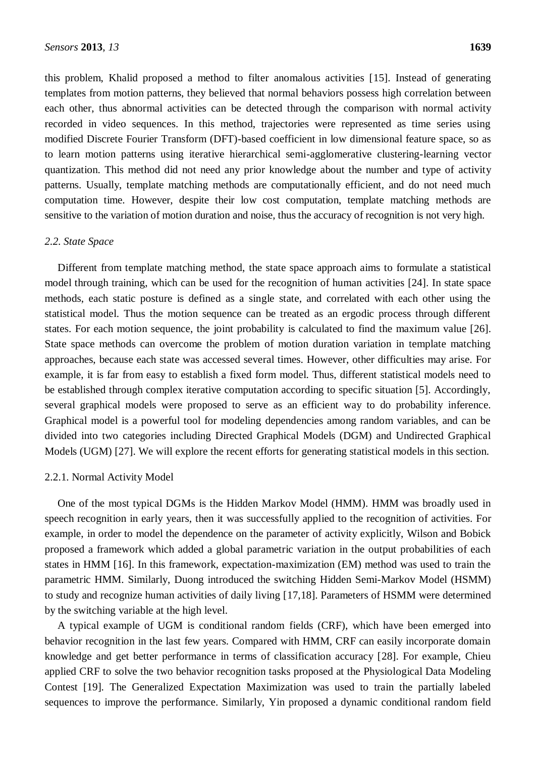this problem, Khalid proposed a method to filter anomalous activities [15]. Instead of generating templates from motion patterns, they believed that normal behaviors possess high correlation between each other, thus abnormal activities can be detected through the comparison with normal activity recorded in video sequences. In this method, trajectories were represented as time series using modified Discrete Fourier Transform (DFT)-based coefficient in low dimensional feature space, so as to learn motion patterns using iterative hierarchical semi-agglomerative clustering-learning vector quantization. This method did not need any prior knowledge about the number and type of activity patterns. Usually, template matching methods are computationally efficient, and do not need much computation time. However, despite their low cost computation, template matching methods are sensitive to the variation of motion duration and noise, thus the accuracy of recognition is not very high.

#### *2.2. State Space*

Different from template matching method, the state space approach aims to formulate a statistical model through training, which can be used for the recognition of human activities [24]. In state space methods, each static posture is defined as a single state, and correlated with each other using the statistical model. Thus the motion sequence can be treated as an ergodic process through different states. For each motion sequence, the joint probability is calculated to find the maximum value [26]. State space methods can overcome the problem of motion duration variation in template matching approaches, because each state was accessed several times. However, other difficulties may arise. For example, it is far from easy to establish a fixed form model. Thus, different statistical models need to be established through complex iterative computation according to specific situation [5]. Accordingly, several graphical models were proposed to serve as an efficient way to do probability inference. Graphical model is a powerful tool for modeling dependencies among random variables, and can be divided into two categories including Directed Graphical Models (DGM) and Undirected Graphical Models (UGM) [27]. We will explore the recent efforts for generating statistical models in this section.

#### 2.2.1. Normal Activity Model

One of the most typical DGMs is the Hidden Markov Model (HMM). HMM was broadly used in speech recognition in early years, then it was successfully applied to the recognition of activities. For example, in order to model the dependence on the parameter of activity explicitly, Wilson and Bobick proposed a framework which added a global parametric variation in the output probabilities of each states in HMM [16]. In this framework, expectation-maximization (EM) method was used to train the parametric HMM. Similarly, Duong introduced the switching Hidden Semi-Markov Model (HSMM) to study and recognize human activities of daily living [17,18]. Parameters of HSMM were determined by the switching variable at the high level.

A typical example of UGM is conditional random fields (CRF), which have been emerged into behavior recognition in the last few years. Compared with HMM, CRF can easily incorporate domain knowledge and get better performance in terms of classification accuracy [28]. For example, Chieu applied CRF to solve the two behavior recognition tasks proposed at the Physiological Data Modeling Contest [19]. The Generalized Expectation Maximization was used to train the partially labeled sequences to improve the performance. Similarly, Yin proposed a dynamic conditional random field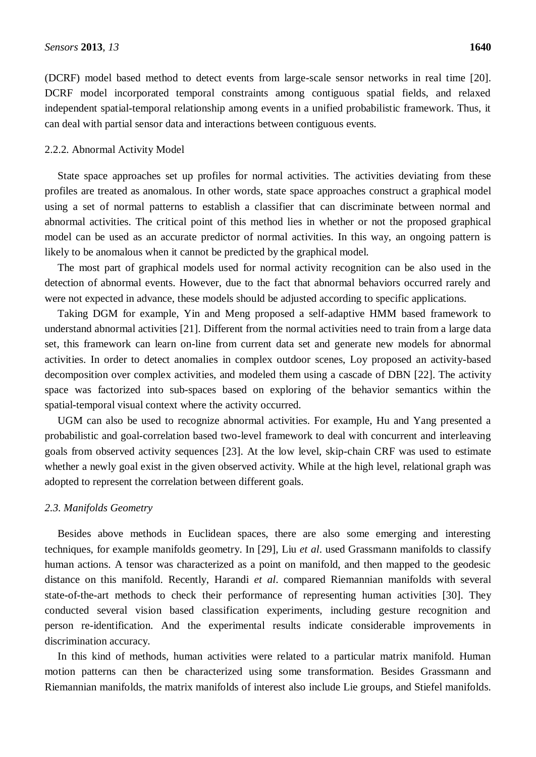(DCRF) model based method to detect events from large-scale sensor networks in real time [20]. DCRF model incorporated temporal constraints among contiguous spatial fields, and relaxed independent spatial-temporal relationship among events in a unified probabilistic framework. Thus, it can deal with partial sensor data and interactions between contiguous events.

#### 2.2.2. Abnormal Activity Model

State space approaches set up profiles for normal activities. The activities deviating from these profiles are treated as anomalous. In other words, state space approaches construct a graphical model using a set of normal patterns to establish a classifier that can discriminate between normal and abnormal activities. The critical point of this method lies in whether or not the proposed graphical model can be used as an accurate predictor of normal activities. In this way, an ongoing pattern is likely to be anomalous when it cannot be predicted by the graphical model.

The most part of graphical models used for normal activity recognition can be also used in the detection of abnormal events. However, due to the fact that abnormal behaviors occurred rarely and were not expected in advance, these models should be adjusted according to specific applications.

Taking DGM for example, Yin and Meng proposed a self-adaptive HMM based framework to understand abnormal activities [21]. Different from the normal activities need to train from a large data set, this framework can learn on-line from current data set and generate new models for abnormal activities. In order to detect anomalies in complex outdoor scenes, Loy proposed an activity-based decomposition over complex activities, and modeled them using a cascade of DBN [22]. The activity space was factorized into sub-spaces based on exploring of the behavior semantics within the spatial-temporal visual context where the activity occurred.

UGM can also be used to recognize abnormal activities. For example, Hu and Yang presented a probabilistic and goal-correlation based two-level framework to deal with concurrent and interleaving goals from observed activity sequences [23]. At the low level, skip-chain CRF was used to estimate whether a newly goal exist in the given observed activity. While at the high level, relational graph was adopted to represent the correlation between different goals.

#### *2.3. Manifolds Geometry*

Besides above methods in Euclidean spaces, there are also some emerging and interesting techniques, for example manifolds geometry. In [29], Liu *et al*. used Grassmann manifolds to classify human actions. A tensor was characterized as a point on manifold, and then mapped to the geodesic distance on this manifold. Recently, Harandi *et al*. compared Riemannian manifolds with several state-of-the-art methods to check their performance of representing human activities [30]. They conducted several vision based classification experiments, including gesture recognition and person re-identification. And the experimental results indicate considerable improvements in discrimination accuracy.

In this kind of methods, human activities were related to a particular matrix manifold. Human motion patterns can then be characterized using some transformation. Besides Grassmann and Riemannian manifolds, the matrix manifolds of interest also include Lie groups, and Stiefel manifolds.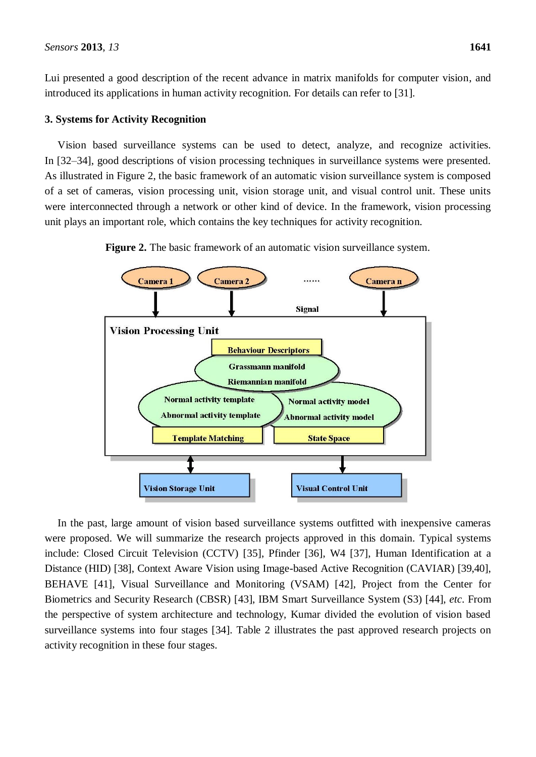Lui presented a good description of the recent advance in matrix manifolds for computer vision, and introduced its applications in human activity recognition. For details can refer to [31].

#### **3. Systems for Activity Recognition**

Vision based surveillance systems can be used to detect, analyze, and recognize activities. In [32–34], good descriptions of vision processing techniques in surveillance systems were presented. As illustrated in Figure 2, the basic framework of an automatic vision surveillance system is composed of a set of cameras, vision processing unit, vision storage unit, and visual control unit. These units were interconnected through a network or other kind of device. In the framework, vision processing unit plays an important role, which contains the key techniques for activity recognition.



**Figure 2.** The basic framework of an automatic vision surveillance system.

In the past, large amount of vision based surveillance systems outfitted with inexpensive cameras were proposed. We will summarize the research projects approved in this domain. Typical systems include: Closed Circuit Television (CCTV) [35], Pfinder [36], W4 [37], Human Identification at a Distance (HID) [38], Context Aware Vision using Image-based Active Recognition (CAVIAR) [39,40], BEHAVE [41], Visual Surveillance and Monitoring (VSAM) [42], Project from the Center for Biometrics and Security Research (CBSR) [43], IBM Smart Surveillance System (S3) [44], *etc*. From the perspective of system architecture and technology, Kumar divided the evolution of vision based surveillance systems into four stages [34]. Table 2 illustrates the past approved research projects on activity recognition in these four stages.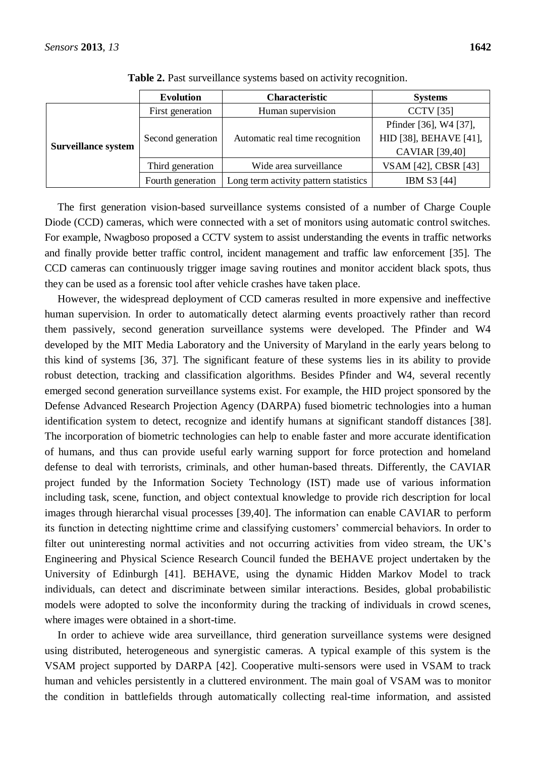| <b>Table 2.</b> Past surveillance systems based on activity recognition. |                       |                |  |
|--------------------------------------------------------------------------|-----------------------|----------------|--|
| <b>Evolution</b>                                                         | <b>Characteristic</b> | <b>Systems</b> |  |

|                            | <b>Evolution</b>  | <b>Characteristic</b>                 | <b>Systems</b>         |
|----------------------------|-------------------|---------------------------------------|------------------------|
|                            | First generation  | Human supervision                     | <b>CCTV</b> [35]       |
| <b>Surveillance system</b> | Second generation | Automatic real time recognition       | Pfinder [36], W4 [37], |
|                            |                   |                                       | HID [38], BEHAVE [41], |
|                            |                   |                                       | CAVIAR [39,40]         |
|                            | Third generation  | Wide area surveillance                | VSAM [42], CBSR [43]   |
|                            | Fourth generation | Long term activity pattern statistics | IBM S3 [44]            |

The first generation vision-based surveillance systems consisted of a number of Charge Couple Diode (CCD) cameras, which were connected with a set of monitors using automatic control switches. For example, Nwagboso proposed a CCTV system to assist understanding the events in traffic networks and finally provide better traffic control, incident management and traffic law enforcement [35]. The CCD cameras can continuously trigger image saving routines and monitor accident black spots, thus they can be used as a forensic tool after vehicle crashes have taken place.

However, the widespread deployment of CCD cameras resulted in more expensive and ineffective human supervision. In order to automatically detect alarming events proactively rather than record them passively, second generation surveillance systems were developed. The Pfinder and W4 developed by the MIT Media Laboratory and the University of Maryland in the early years belong to this kind of systems [36, 37]. The significant feature of these systems lies in its ability to provide robust detection, tracking and classification algorithms. Besides Pfinder and W4, several recently emerged second generation surveillance systems exist. For example, the HID project sponsored by the Defense Advanced Research Projection Agency (DARPA) fused biometric technologies into a human identification system to detect, recognize and identify humans at significant standoff distances [38]. The incorporation of biometric technologies can help to enable faster and more accurate identification of humans, and thus can provide useful early warning support for force protection and homeland defense to deal with terrorists, criminals, and other human-based threats. Differently, the CAVIAR project funded by the Information Society Technology (IST) made use of various information including task, scene, function, and object contextual knowledge to provide rich description for local images through hierarchal visual processes [39,40]. The information can enable CAVIAR to perform its function in detecting nighttime crime and classifying customers' commercial behaviors. In order to filter out uninteresting normal activities and not occurring activities from video stream, the UK's Engineering and Physical Science Research Council funded the BEHAVE project undertaken by the University of Edinburgh [41]. BEHAVE, using the dynamic Hidden Markov Model to track individuals, can detect and discriminate between similar interactions. Besides, global probabilistic models were adopted to solve the inconformity during the tracking of individuals in crowd scenes, where images were obtained in a short-time.

In order to achieve wide area surveillance, third generation surveillance systems were designed using distributed, heterogeneous and synergistic cameras. A typical example of this system is the VSAM project supported by DARPA [42]. Cooperative multi-sensors were used in VSAM to track human and vehicles persistently in a cluttered environment. The main goal of VSAM was to monitor the condition in battlefields through automatically collecting real-time information, and assisted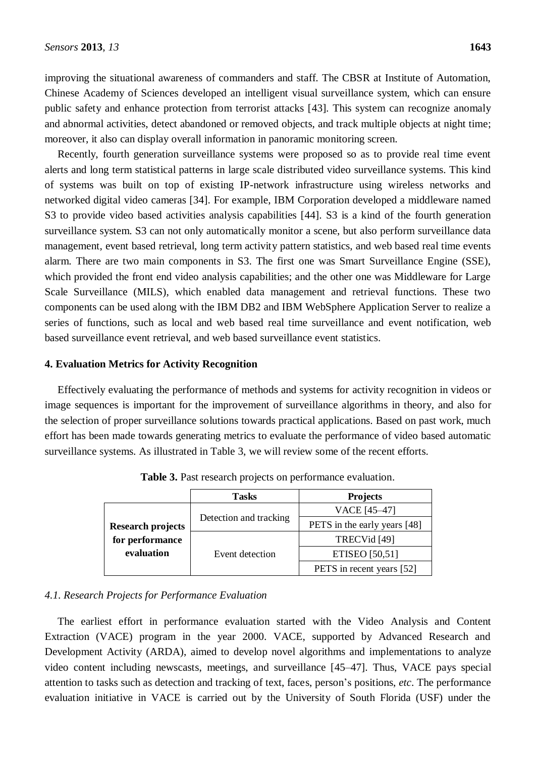improving the situational awareness of commanders and staff. The CBSR at Institute of Automation, Chinese Academy of Sciences developed an intelligent visual surveillance system, which can ensure public safety and enhance protection from terrorist attacks [43]. This system can recognize anomaly and abnormal activities, detect abandoned or removed objects, and track multiple objects at night time; moreover, it also can display overall information in panoramic monitoring screen.

Recently, fourth generation surveillance systems were proposed so as to provide real time event alerts and long term statistical patterns in large scale distributed video surveillance systems. This kind of systems was built on top of existing IP-network infrastructure using wireless networks and networked digital video cameras [34]. For example, IBM Corporation developed a middleware named S3 to provide video based activities analysis capabilities [44]. S3 is a kind of the fourth generation surveillance system. S3 can not only automatically monitor a scene, but also perform surveillance data management, event based retrieval, long term activity pattern statistics, and web based real time events alarm. There are two main components in S3. The first one was Smart Surveillance Engine (SSE), which provided the front end video analysis capabilities; and the other one was Middleware for Large Scale Surveillance (MILS), which enabled data management and retrieval functions. These two components can be used along with the IBM DB2 and IBM WebSphere Application Server to realize a series of functions, such as local and web based real time surveillance and event notification, web based surveillance event retrieval, and web based surveillance event statistics.

#### **4. Evaluation Metrics for Activity Recognition**

Effectively evaluating the performance of methods and systems for activity recognition in videos or image sequences is important for the improvement of surveillance algorithms in theory, and also for the selection of proper surveillance solutions towards practical applications. Based on past work, much effort has been made towards generating metrics to evaluate the performance of video based automatic surveillance systems. As illustrated in Table 3, we will review some of the recent efforts.

|                               | <b>Tasks</b>           | <b>Projects</b>              |  |
|-------------------------------|------------------------|------------------------------|--|
|                               |                        | VACE [45-47]                 |  |
| <b>Research projects</b>      | Detection and tracking | PETS in the early years [48] |  |
| for performance               |                        | TRECVid [49]                 |  |
| evaluation<br>Event detection |                        | <b>ETISEO</b> [50,51]        |  |
|                               |                        | PETS in recent years [52]    |  |

**Table 3.** Past research projects on performance evaluation.

#### *4.1. Research Projects for Performance Evaluation*

The earliest effort in performance evaluation started with the Video Analysis and Content Extraction (VACE) program in the year 2000. VACE, supported by Advanced Research and Development Activity (ARDA), aimed to develop novel algorithms and implementations to analyze video content including newscasts, meetings, and surveillance [45–47]. Thus, VACE pays special attention to tasks such as detection and tracking of text, faces, person's positions, *etc*. The performance evaluation initiative in VACE is carried out by the University of South Florida (USF) under the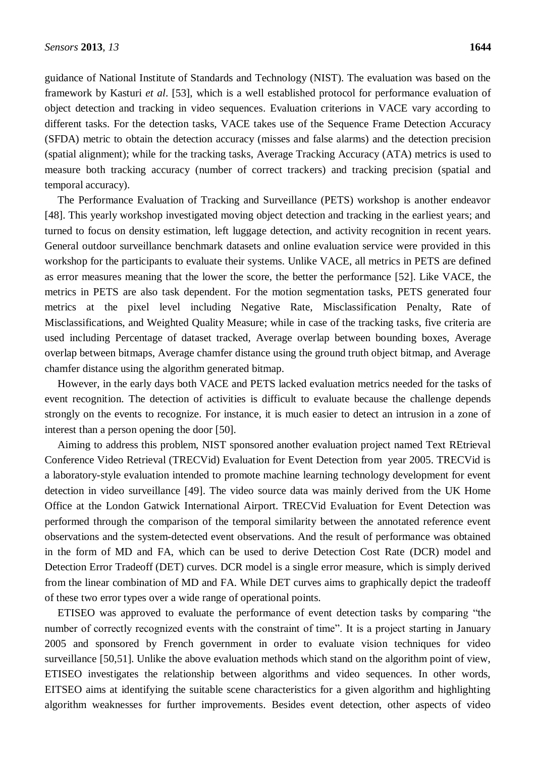guidance of National Institute of Standards and Technology (NIST). The evaluation was based on the framework by Kasturi *et al*. [53], which is a well established protocol for performance evaluation of object detection and tracking in video sequences. Evaluation criterions in VACE vary according to different tasks. For the detection tasks, VACE takes use of the Sequence Frame Detection Accuracy (SFDA) metric to obtain the detection accuracy (misses and false alarms) and the detection precision (spatial alignment); while for the tracking tasks, Average Tracking Accuracy (ATA) metrics is used to measure both tracking accuracy (number of correct trackers) and tracking precision (spatial and temporal accuracy).

The Performance Evaluation of Tracking and Surveillance (PETS) workshop is another endeavor [48]. This yearly workshop investigated moving object detection and tracking in the earliest years; and turned to focus on density estimation, left luggage detection, and activity recognition in recent years. General outdoor surveillance benchmark datasets and online evaluation service were provided in this workshop for the participants to evaluate their systems. Unlike VACE, all metrics in PETS are defined as error measures meaning that the lower the score, the better the performance [52]. Like VACE, the metrics in PETS are also task dependent. For the motion segmentation tasks, PETS generated four metrics at the pixel level including Negative Rate, Misclassification Penalty, Rate of Misclassifications, and Weighted Quality Measure; while in case of the tracking tasks, five criteria are used including Percentage of dataset tracked, Average overlap between bounding boxes, Average overlap between bitmaps, Average chamfer distance using the ground truth object bitmap, and Average chamfer distance using the algorithm generated bitmap.

However, in the early days both VACE and PETS lacked evaluation metrics needed for the tasks of event recognition. The detection of activities is difficult to evaluate because the challenge depends strongly on the events to recognize. For instance, it is much easier to detect an intrusion in a zone of interest than a person opening the door [50].

Aiming to address this problem, NIST sponsored another evaluation project named Text REtrieval Conference Video Retrieval (TRECVid) Evaluation for Event Detection from year 2005. TRECVid is a laboratory-style evaluation intended to promote machine learning technology development for event detection in video surveillance [49]. The video source data was mainly derived from the UK Home Office at the London Gatwick International Airport. TRECVid Evaluation for Event Detection was performed through the comparison of the temporal similarity between the annotated reference event observations and the system-detected event observations. And the result of performance was obtained in the form of MD and FA, which can be used to derive Detection Cost Rate (DCR) model and Detection Error Tradeoff (DET) curves. DCR model is a single error measure, which is simply derived from the linear combination of MD and FA. While DET curves aims to graphically depict the tradeoff of these two error types over a wide range of operational points.

ETISEO was approved to evaluate the performance of event detection tasks by comparing "the number of correctly recognized events with the constraint of time". It is a project starting in January 2005 and sponsored by French government in order to evaluate vision techniques for video surveillance [50,51]. Unlike the above evaluation methods which stand on the algorithm point of view, ETISEO investigates the relationship between algorithms and video sequences. In other words, EITSEO aims at identifying the suitable scene characteristics for a given algorithm and highlighting algorithm weaknesses for further improvements. Besides event detection, other aspects of video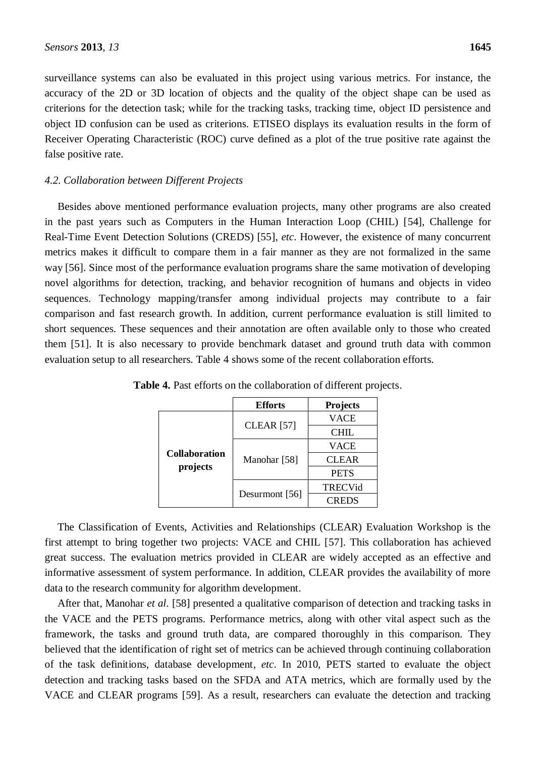surveillance systems can also be evaluated in this project using various metrics. For instance, the accuracy of the 2D or 3D location of objects and the quality of the object shape can be used as criterions for the detection task; while for the tracking tasks, tracking time, object ID persistence and object ID confusion can be used as criterions. ETISEO displays its evaluation results in the form of Receiver Operating Characteristic (ROC) curve defined as a plot of the true positive rate against the false positive rate.

#### *4.2. Collaboration between Different Projects*

Besides above mentioned performance evaluation projects, many other programs are also created in the past years such as Computers in the Human Interaction Loop (CHIL) [54], Challenge for Real-Time Event Detection Solutions (CREDS) [55], *etc*. However, the existence of many concurrent metrics makes it difficult to compare them in a fair manner as they are not formalized in the same way [56]. Since most of the performance evaluation programs share the same motivation of developing novel algorithms for detection, tracking, and behavior recognition of humans and objects in video sequences. Technology mapping/transfer among individual projects may contribute to a fair comparison and fast research growth. In addition, current performance evaluation is still limited to short sequences. These sequences and their annotation are often available only to those who created them [51]. It is also necessary to provide benchmark dataset and ground truth data with common evaluation setup to all researchers. Table 4 shows some of the recent collaboration efforts.

|                                  | <b>Efforts</b>    | <b>Projects</b> |
|----------------------------------|-------------------|-----------------|
| <b>Collaboration</b><br>projects |                   | <b>VACE</b>     |
|                                  | <b>CLEAR</b> [57] | CHIL            |
|                                  | Manohar [58]      | <b>VACE</b>     |
|                                  |                   | <b>CLEAR</b>    |
|                                  |                   | <b>PETS</b>     |
|                                  | Desurmont [56]    | TRECVid         |
|                                  |                   | CREDS           |

**Table 4.** Past efforts on the collaboration of different projects.

The Classification of Events, Activities and Relationships (CLEAR) Evaluation Workshop is the first attempt to bring together two projects: VACE and CHIL [57]. This collaboration has achieved great success. The evaluation metrics provided in CLEAR are widely accepted as an effective and informative assessment of system performance. In addition, CLEAR provides the availability of more data to the research community for algorithm development.

After that, Manohar *et al*. [58] presented a qualitative comparison of detection and tracking tasks in the VACE and the PETS programs. Performance metrics, along with other vital aspect such as the framework, the tasks and ground truth data, are compared thoroughly in this comparison. They believed that the identification of right set of metrics can be achieved through continuing collaboration of the task definitions, database development, *etc*. In 2010, PETS started to evaluate the object detection and tracking tasks based on the SFDA and ATA metrics, which are formally used by the VACE and CLEAR programs [59]. As a result, researchers can evaluate the detection and tracking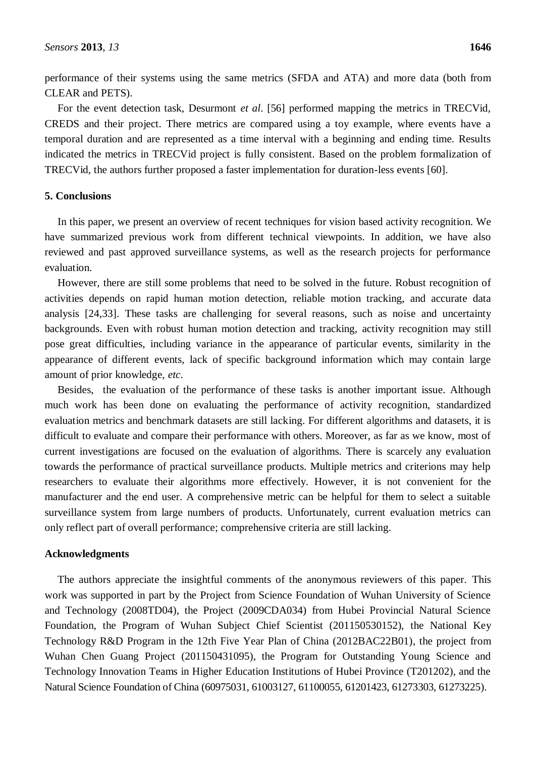performance of their systems using the same metrics (SFDA and ATA) and more data (both from CLEAR and PETS).

For the event detection task, Desurmont *et al*. [56] performed mapping the metrics in TRECVid, CREDS and their project. There metrics are compared using a toy example, where events have a temporal duration and are represented as a time interval with a beginning and ending time. Results indicated the metrics in TRECVid project is fully consistent. Based on the problem formalization of TRECVid, the authors further proposed a faster implementation for duration-less events [60].

### **5. Conclusions**

In this paper, we present an overview of recent techniques for vision based activity recognition. We have summarized previous work from different technical viewpoints. In addition, we have also reviewed and past approved surveillance systems, as well as the research projects for performance evaluation.

However, there are still some problems that need to be solved in the future. Robust recognition of activities depends on rapid human motion detection, reliable motion tracking, and accurate data analysis [24,33]. These tasks are challenging for several reasons, such as noise and uncertainty backgrounds. Even with robust human motion detection and tracking, activity recognition may still pose great difficulties, including variance in the appearance of particular events, similarity in the appearance of different events, lack of specific background information which may contain large amount of prior knowledge, *etc*.

Besides, the evaluation of the performance of these tasks is another important issue. Although much work has been done on evaluating the performance of activity recognition, standardized evaluation metrics and benchmark datasets are still lacking. For different algorithms and datasets, it is difficult to evaluate and compare their performance with others. Moreover, as far as we know, most of current investigations are focused on the evaluation of algorithms. There is scarcely any evaluation towards the performance of practical surveillance products. Multiple metrics and criterions may help researchers to evaluate their algorithms more effectively. However, it is not convenient for the manufacturer and the end user. A comprehensive metric can be helpful for them to select a suitable surveillance system from large numbers of products. Unfortunately, current evaluation metrics can only reflect part of overall performance; comprehensive criteria are still lacking.

#### **Acknowledgments**

The authors appreciate the insightful comments of the anonymous reviewers of this paper. This work was supported in part by the Project from Science Foundation of Wuhan University of Science and Technology (2008TD04), the Project (2009CDA034) from Hubei Provincial Natural Science Foundation, the Program of Wuhan Subject Chief Scientist (201150530152), the National Key Technology R&D Program in the 12th Five Year Plan of China (2012BAC22B01), the project from Wuhan Chen Guang Project (201150431095), the Program for Outstanding Young Science and Technology Innovation Teams in Higher Education Institutions of Hubei Province (T201202), and the Natural Science Foundation of China (60975031, 61003127, 61100055, 61201423, 61273303, 61273225).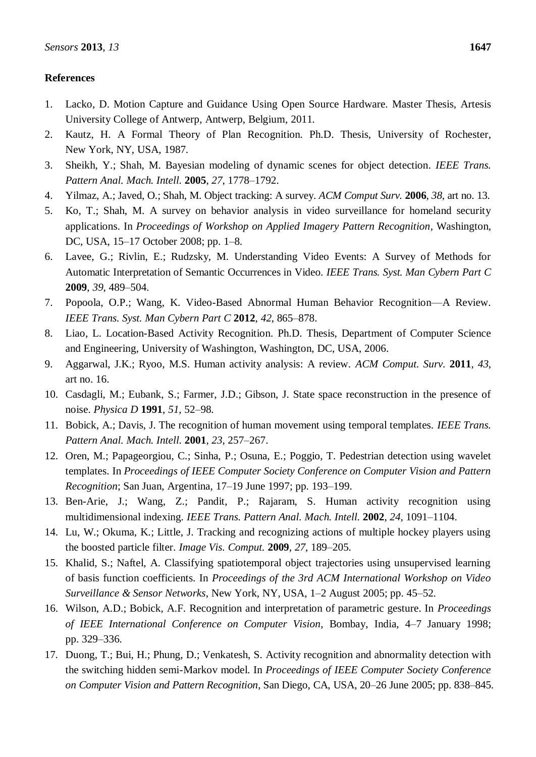### **References**

- 1. Lacko, D. Motion Capture and Guidance Using Open Source Hardware. Master Thesis, Artesis University College of Antwerp, Antwerp, Belgium, 2011.
- 2. Kautz, H. A Formal Theory of Plan Recognition. Ph.D. Thesis, University of Rochester, New York, NY, USA, 1987.
- 3. Sheikh, Y.; Shah, M. Bayesian modeling of dynamic scenes for object detection. *IEEE Trans. Pattern Anal. Mach. Intell.* **2005**, *27*, 1778–1792.
- 4. Yilmaz, A.; Javed, O.; Shah, M. Object tracking: A survey. *ACM Comput Surv.* **2006**, *38*, art no. 13.
- 5. Ko, T.; Shah, M. A survey on behavior analysis in video surveillance for homeland security applications. In *Proceedings of Workshop on Applied Imagery Pattern Recognition*, Washington, DC, USA, 15–17 October 2008; pp. 1–8.
- 6. Lavee, G.; Rivlin, E.; Rudzsky, M. Understanding Video Events: A Survey of Methods for Automatic Interpretation of Semantic Occurrences in Video. *IEEE Trans. Syst. Man Cybern Part C* **2009**, *39*, 489–504.
- 7. Popoola, O.P.; Wang, K. Video-Based Abnormal Human Behavior Recognition—A Review. *IEEE Trans. Syst. Man Cybern Part C* **2012**, *42*, 865–878.
- 8. Liao, L. Location-Based Activity Recognition. Ph.D. Thesis, Department of Computer Science and Engineering, University of Washington, Washington, DC, USA, 2006.
- 9. Aggarwal, J.K.; Ryoo, M.S. Human activity analysis: A review. *ACM Comput. Surv.* **2011**, *43*, art no. 16.
- 10. Casdagli, M.; Eubank, S.; Farmer, J.D.; Gibson, J. State space reconstruction in the presence of noise. *Physica D* **1991**, *51*, 52–98.
- 11. Bobick, A.; Davis, J. The recognition of human movement using temporal templates. *IEEE Trans. Pattern Anal. Mach. Intell.* **2001**, *23*, 257–267.
- 12. Oren, M.; Papageorgiou, C.; Sinha, P.; Osuna, E.; Poggio, T. Pedestrian detection using wavelet templates. In *Proceedings of IEEE Computer Society Conference on Computer Vision and Pattern Recognition*; San Juan, Argentina, 17–19 June 1997; pp. 193–199.
- 13. Ben-Arie, J.; Wang, Z.; Pandit, P.; Rajaram, S. Human activity recognition using multidimensional indexing. *IEEE Trans. Pattern Anal. Mach. Intell.* **2002**, *24*, 1091–1104.
- 14. Lu, W.; Okuma, K.; Little, J. Tracking and recognizing actions of multiple hockey players using the boosted particle filter. *Image Vis. Comput.* **2009**, *27*, 189–205.
- 15. Khalid, S.; Naftel, A. Classifying spatiotemporal object trajectories using unsupervised learning of basis function coefficients. In *Proceedings of the 3rd ACM International Workshop on Video Surveillance & Sensor Networks*, New York, NY, USA, 1–2 August 2005; pp. 45–52.
- 16. Wilson, A.D.; Bobick, A.F. Recognition and interpretation of parametric gesture. In *Proceedings of IEEE International Conference on Computer Vision*, Bombay, India, 4–7 January 1998; pp. 329–336.
- 17. Duong, T.; Bui, H.; Phung, D.; Venkatesh, S. Activity recognition and abnormality detection with the switching hidden semi-Markov model. In *Proceedings of IEEE Computer Society Conference on Computer Vision and Pattern Recognition*, San Diego, CA, USA, 20–26 June 2005; pp. 838–845.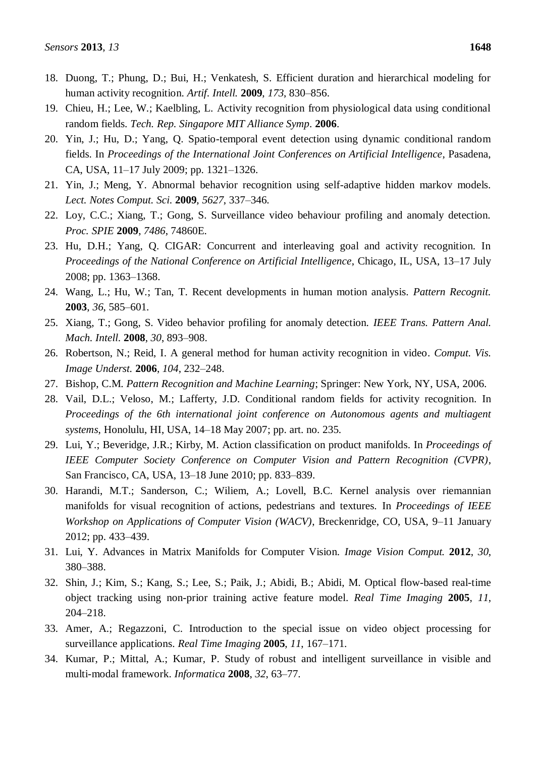- 18. Duong, T.; Phung, D.; Bui, H.; Venkatesh, S. Efficient duration and hierarchical modeling for human activity recognition. *Artif. Intell.* **2009**, *173*, 830–856.
- 19. Chieu, H.; Lee, W.; Kaelbling, L. Activity recognition from physiological data using conditional random fields. *Tech. Rep. Singapore MIT Alliance Symp*. **2006**.
- 20. Yin, J.; Hu, D.; Yang, Q. Spatio-temporal event detection using dynamic conditional random fields. In *Proceedings of the International Joint Conferences on Artificial Intelligence*, Pasadena, CA, USA, 11–17 July 2009; pp. 1321–1326.
- 21. Yin, J.; Meng, Y. Abnormal behavior recognition using self-adaptive hidden markov models. *Lect. Notes Comput. Sci*. **2009**, *5627*, 337–346.
- 22. Loy, C.C.; Xiang, T.; Gong, S. Surveillance video behaviour profiling and anomaly detection. *Proc. SPIE* **2009**, *7486*, 74860E.
- 23. Hu, D.H.; Yang, Q. CIGAR: Concurrent and interleaving goal and activity recognition. In *Proceedings of the National Conference on Artificial Intelligence*, Chicago, IL, USA, 13–17 July 2008; pp. 1363–1368.
- 24. Wang, L.; Hu, W.; Tan, T. Recent developments in human motion analysis. *Pattern Recognit.* **2003**, *36*, 585–601.
- 25. Xiang, T.; Gong, S. Video behavior profiling for anomaly detection. *IEEE Trans. Pattern Anal. Mach. Intell.* **2008**, *30*, 893–908.
- 26. Robertson, N.; Reid, I. A general method for human activity recognition in video. *Comput. Vis. Image Underst.* **2006**, *104*, 232–248.
- 27. Bishop, C.M. *Pattern Recognition and Machine Learning*; Springer: New York, NY, USA, 2006.
- 28. Vail, D.L.; Veloso, M.; Lafferty, J.D. Conditional random fields for activity recognition. In *Proceedings of the 6th international joint conference on Autonomous agents and multiagent systems*, Honolulu, HI, USA, 14–18 May 2007; pp. art. no. 235.
- 29. Lui, Y.; Beveridge, J.R.; Kirby, M. Action classification on product manifolds. In *Proceedings of IEEE Computer Society Conference on Computer Vision and Pattern Recognition (CVPR)*, San Francisco, CA, USA, 13–18 June 2010; pp. 833–839.
- 30. Harandi, M.T.; Sanderson, C.; Wiliem, A.; Lovell, B.C. Kernel analysis over riemannian manifolds for visual recognition of actions, pedestrians and textures. In *Proceedings of IEEE Workshop on Applications of Computer Vision (WACV)*, Breckenridge, CO, USA, 9–11 January 2012; pp. 433–439.
- 31. Lui, Y. Advances in Matrix Manifolds for Computer Vision. *Image Vision Comput.* **2012**, *30*, 380–388.
- 32. Shin, J.; Kim, S.; Kang, S.; Lee, S.; Paik, J.; Abidi, B.; Abidi, M. Optical flow-based real-time object tracking using non-prior training active feature model. *Real Time Imaging* **2005**, *11*, 204–218.
- 33. Amer, A.; Regazzoni, C. Introduction to the special issue on video object processing for surveillance applications. *Real Time Imaging* **2005**, *11*, 167–171.
- 34. Kumar, P.; Mittal, A.; Kumar, P. Study of robust and intelligent surveillance in visible and multi-modal framework. *Informatica* **2008**, *32*, 63–77.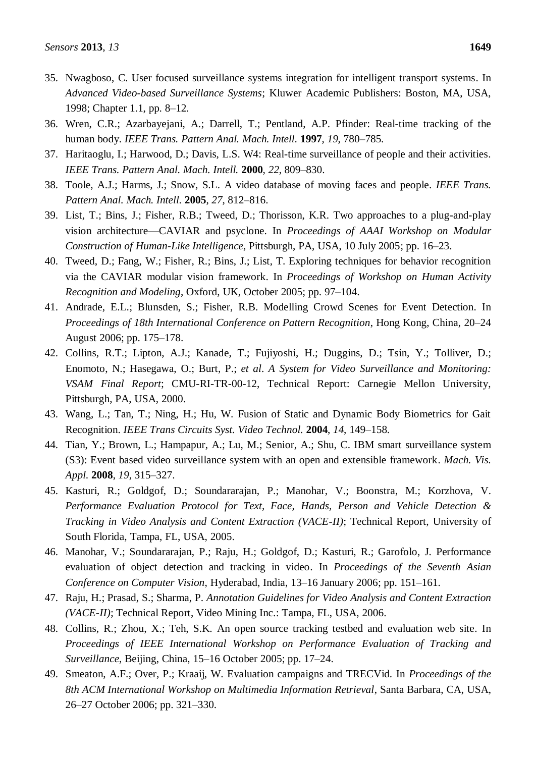- 35. Nwagboso, C. User focused surveillance systems integration for intelligent transport systems. In *Advanced Video-based Surveillance Systems*; Kluwer Academic Publishers: Boston, MA, USA, 1998; Chapter 1.1, pp. 8–12.
- 36. Wren, C.R.; Azarbayejani, A.; Darrell, T.; Pentland, A.P. Pfinder: Real-time tracking of the human body. *IEEE Trans. Pattern Anal. Mach. Intell.* **1997**, *19*, 780–785.
- 37. Haritaoglu, I.; Harwood, D.; Davis, L.S. W4: Real-time surveillance of people and their activities. *IEEE Trans. Pattern Anal. Mach. Intell.* **2000**, *22*, 809–830.
- 38. Toole, A.J.; Harms, J.; Snow, S.L. A video database of moving faces and people. *IEEE Trans. Pattern Anal. Mach. Intell.* **2005**, *27*, 812–816.
- 39. List, T.; Bins, J.; Fisher, R.B.; Tweed, D.; Thorisson, K.R. Two approaches to a plug-and-play vision architecture—CAVIAR and psyclone. In *Proceedings of AAAI Workshop on Modular Construction of Human-Like Intelligence*, Pittsburgh, PA, USA, 10 July 2005; pp. 16–23.
- 40. Tweed, D.; Fang, W.; Fisher, R.; Bins, J.; List, T. Exploring techniques for behavior recognition via the CAVIAR modular vision framework. In *Proceedings of Workshop on Human Activity Recognition and Modeling*, Oxford, UK, October 2005; pp. 97–104.
- 41. Andrade, E.L.; Blunsden, S.; Fisher, R.B. Modelling Crowd Scenes for Event Detection. In *Proceedings of 18th International Conference on Pattern Recognition*, Hong Kong, China, 20–24 August 2006; pp. 175–178.
- 42. Collins, R.T.; Lipton, A.J.; Kanade, T.; Fujiyoshi, H.; Duggins, D.; Tsin, Y.; Tolliver, D.; Enomoto, N.; Hasegawa, O.; Burt, P.; *et al*. *A System for Video Surveillance and Monitoring: VSAM Final Report*; CMU-RI-TR-00-12, Technical Report: Carnegie Mellon University, Pittsburgh, PA, USA, 2000.
- 43. Wang, L.; Tan, T.; Ning, H.; Hu, W. Fusion of Static and Dynamic Body Biometrics for Gait Recognition. *IEEE Trans Circuits Syst. Video Technol.* **2004**, *14*, 149–158.
- 44. Tian, Y.; Brown, L.; Hampapur, A.; Lu, M.; Senior, A.; Shu, C. IBM smart surveillance system (S3): Event based video surveillance system with an open and extensible framework. *Mach. Vis. Appl.* **2008**, *19*, 315–327.
- 45. Kasturi, R.; Goldgof, D.; Soundararajan, P.; Manohar, V.; Boonstra, M.; Korzhova, V. *Performance Evaluation Protocol for Text, Face, Hands, Person and Vehicle Detection & Tracking in Video Analysis and Content Extraction (VACE-II)*; Technical Report, University of South Florida, Tampa, FL, USA, 2005.
- 46. Manohar, V.; Soundararajan, P.; Raju, H.; Goldgof, D.; Kasturi, R.; Garofolo, J. Performance evaluation of object detection and tracking in video. In *Proceedings of the Seventh Asian Conference on Computer Vision*, Hyderabad, India, 13–16 January 2006; pp. 151–161.
- 47. Raju, H.; Prasad, S.; Sharma, P. *Annotation Guidelines for Video Analysis and Content Extraction (VACE-II)*; Technical Report, Video Mining Inc.: Tampa, FL, USA, 2006.
- 48. Collins, R.; Zhou, X.; Teh, S.K. An open source tracking testbed and evaluation web site. In *Proceedings of IEEE International Workshop on Performance Evaluation of Tracking and Surveillance*, Beijing, China, 15–16 October 2005; pp. 17–24.
- 49. Smeaton, A.F.; Over, P.; Kraaij, W. Evaluation campaigns and TRECVid. In *Proceedings of the 8th ACM International Workshop on Multimedia Information Retrieval*, Santa Barbara, CA, USA, 26–27 October 2006; pp. 321–330.